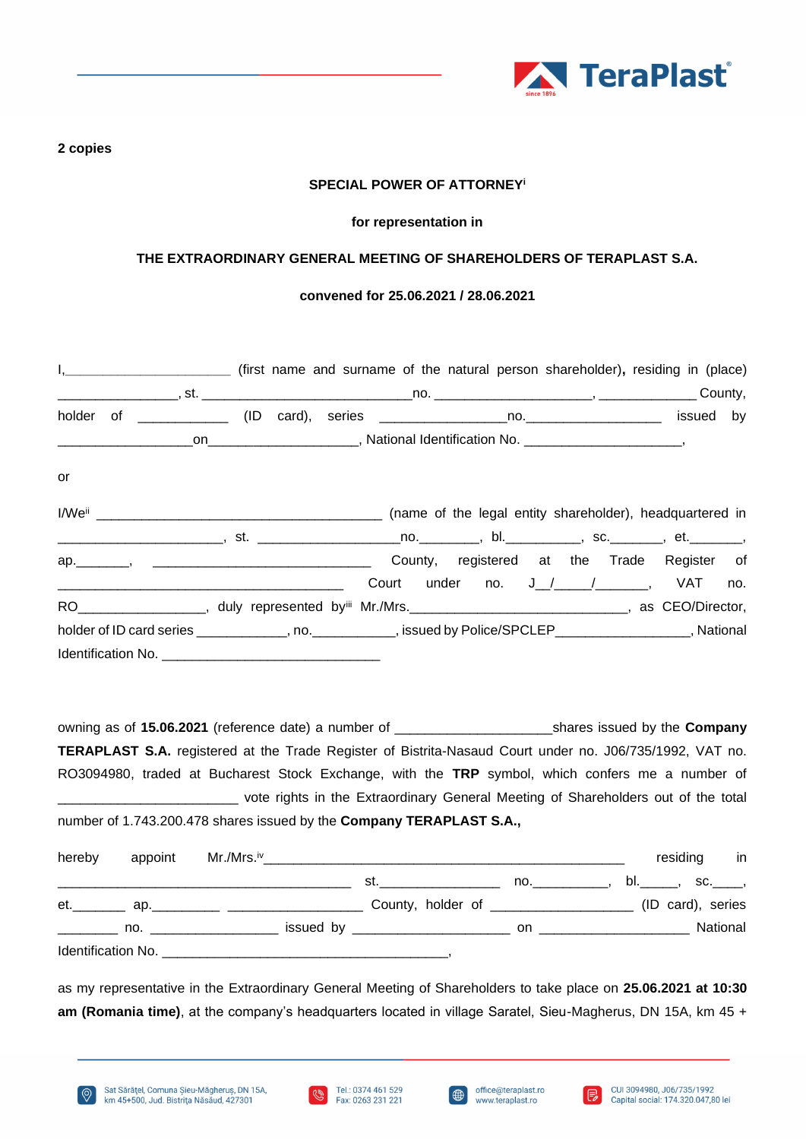

## **2 copies**

## **SPECIAL POWER OF ATTORNEY<sup>i</sup>**

#### **for representation in**

# **THE EXTRAORDINARY GENERAL MEETING OF SHAREHOLDERS OF TERAPLAST S.A.**

### **convened for 25.06.2021 / 28.06.2021**

| or                                                                                                                       |  |  |  |                                       |  |  |     |
|--------------------------------------------------------------------------------------------------------------------------|--|--|--|---------------------------------------|--|--|-----|
|                                                                                                                          |  |  |  |                                       |  |  |     |
|                                                                                                                          |  |  |  |                                       |  |  |     |
|                                                                                                                          |  |  |  |                                       |  |  |     |
|                                                                                                                          |  |  |  | Court under no. J_/____/________, VAT |  |  | no. |
| RO_____________________, duly represented by <sup>iii</sup> Mr./Mrs.__________________________________, as CEO/Director, |  |  |  |                                       |  |  |     |
| holder of ID card series _____________, no. ____________, issued by Police/SPCLEP__________________, National            |  |  |  |                                       |  |  |     |
|                                                                                                                          |  |  |  |                                       |  |  |     |

owning as of **15.06.2021** (reference date) a number of \_\_\_\_\_\_\_\_\_\_\_\_\_\_\_\_\_\_\_\_\_shares issued by the **Company TERAPLAST S.A.** registered at the Trade Register of Bistrita-Nasaud Court under no. J06/735/1992, VAT no. RO3094980, traded at Bucharest Stock Exchange, with the **TRP** symbol, which confers me a number of vote rights in the Extraordinary General Meeting of Shareholders out of the total number of 1.743.200.478 shares issued by the **Company TERAPLAST S.A.,**

| hereby             |                                 |                                                                                                                |                |                                                                                                               | residing          | in       |
|--------------------|---------------------------------|----------------------------------------------------------------------------------------------------------------|----------------|---------------------------------------------------------------------------------------------------------------|-------------------|----------|
|                    |                                 | st. In the state of the state of the state of the state of the state of the state of the state of the state of | $\mathsf{no.}$ | bl._______, sc._____,                                                                                         |                   |          |
| et.                | ap. ___________________________ |                                                                                                                |                |                                                                                                               | (ID card), series |          |
|                    | $\mathsf{no.}$                  |                                                                                                                |                | on a complete the contract of the contract of the contract of the contract of the contract of the contract of |                   | National |
| Identification No. |                                 |                                                                                                                |                |                                                                                                               |                   |          |

as my representative in the Extraordinary General Meeting of Shareholders to take place on **25.06.2021 at 10:30 am (Romania time)**, at the company's headquarters located in village Saratel, Sieu-Magherus, DN 15A, km 45 +





∰

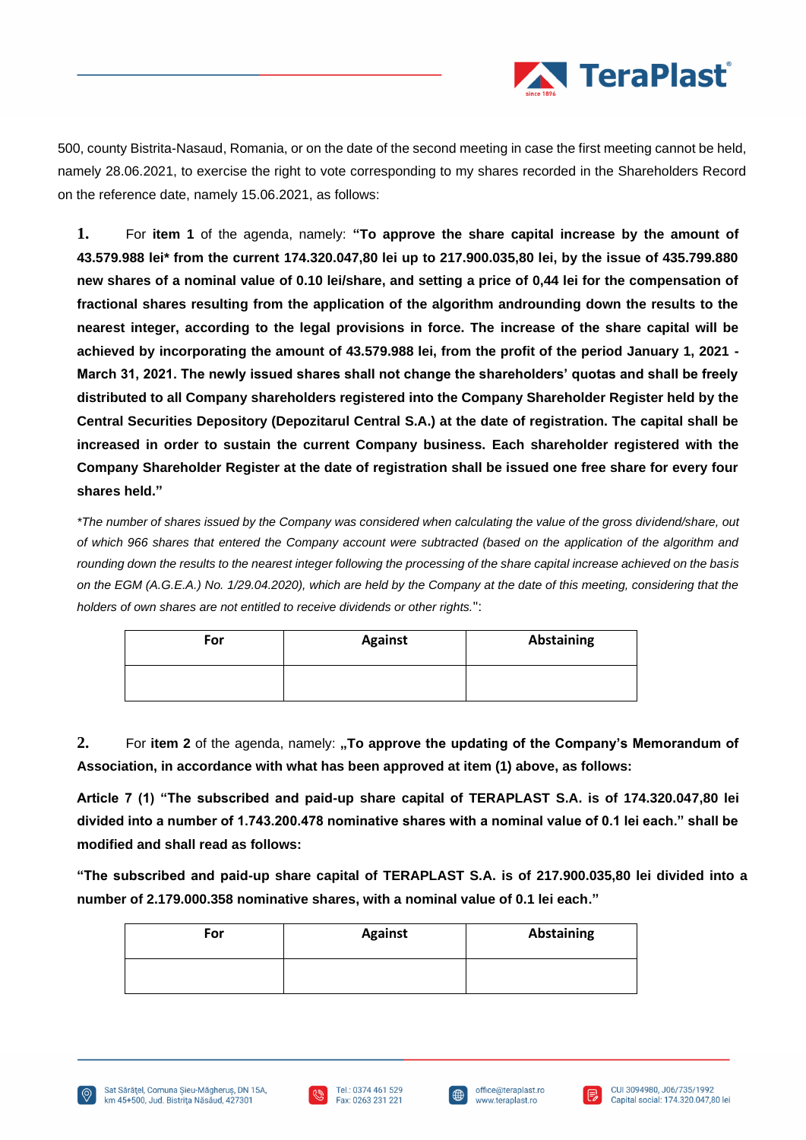

500, county Bistrita-Nasaud, Romania, or on the date of the second meeting in case the first meeting cannot be held, namely 28.06.2021, to exercise the right to vote corresponding to my shares recorded in the Shareholders Record on the reference date, namely 15.06.2021, as follows:

**1.** For **item 1** of the agenda, namely: **"To approve the share capital increase by the amount of 43.579.988 lei\* from the current 174.320.047,80 lei up to 217.900.035,80 lei, by the issue of 435.799.880 new shares of a nominal value of 0.10 lei/share, and setting a price of 0,44 lei for the compensation of fractional shares resulting from the application of the algorithm androunding down the results to the nearest integer, according to the legal provisions in force. The increase of the share capital will be achieved by incorporating the amount of 43.579.988 lei, from the profit of the period January 1, 2021 - March 31, 2021. The newly issued shares shall not change the shareholders' quotas and shall be freely distributed to all Company shareholders registered into the Company Shareholder Register held by the Central Securities Depository (Depozitarul Central S.A.) at the date of registration. The capital shall be increased in order to sustain the current Company business. Each shareholder registered with the Company Shareholder Register at the date of registration shall be issued one free share for every four shares held."**

*\*The number of shares issued by the Company was considered when calculating the value of the gross dividend/share, out of which 966 shares that entered the Company account were subtracted (based on the application of the algorithm and rounding down the results to the nearest integer following the processing of the share capital increase achieved on the basis on the EGM (A.G.E.A.) No. 1/29.04.2020), which are held by the Company at the date of this meeting, considering that the holders of own shares are not entitled to receive dividends or other rights.*":

| For | <b>Against</b> | Abstaining |
|-----|----------------|------------|
|     |                |            |

2. For item 2 of the agenda, namely: "To approve the updating of the Company's Memorandum of **Association, in accordance with what has been approved at item (1) above, as follows:**

**Article 7 (1) "The subscribed and paid-up share capital of TERAPLAST S.A. is of 174.320.047,80 lei divided into a number of 1.743.200.478 nominative shares with a nominal value of 0.1 lei each." shall be modified and shall read as follows:**

**"The subscribed and paid-up share capital of TERAPLAST S.A. is of 217.900.035,80 lei divided into a number of 2.179.000.358 nominative shares, with a nominal value of 0.1 lei each."**

| For | <b>Against</b> | Abstaining |
|-----|----------------|------------|
|     |                |            |







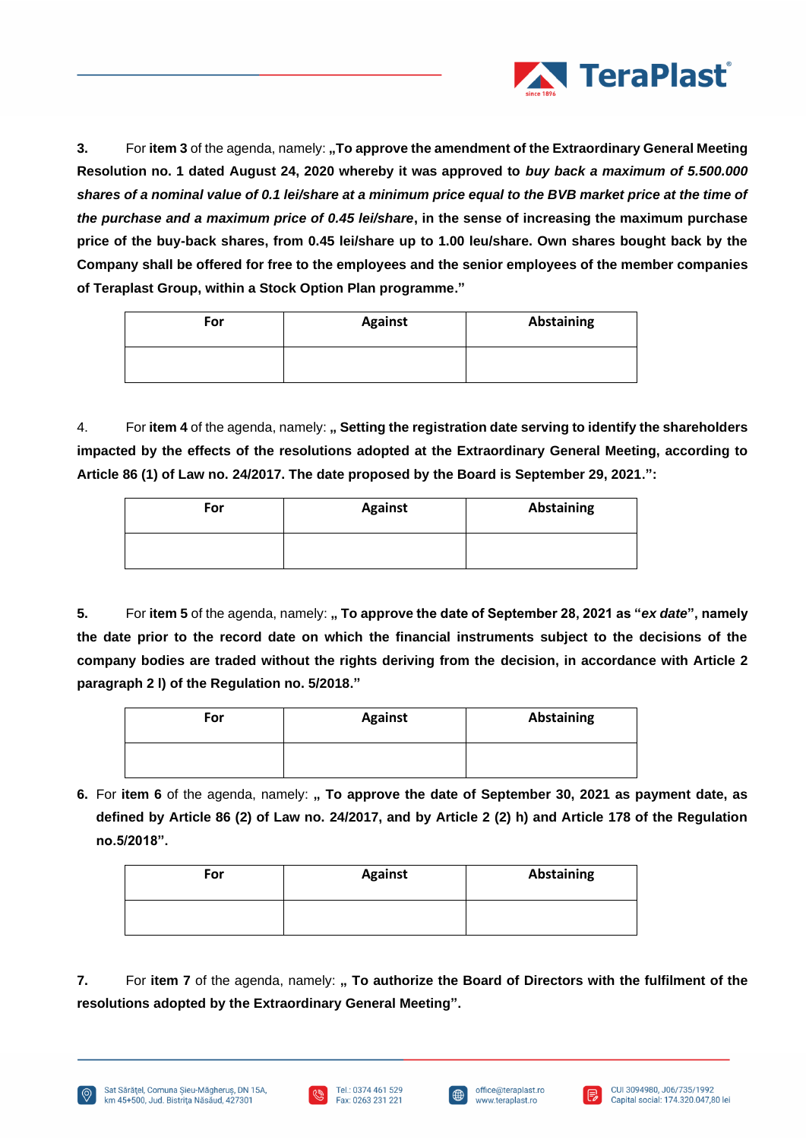

**3.** For item 3 of the agenda, namely: **"To approve the amendment of the Extraordinary General Meeting Resolution no. 1 dated August 24, 2020 whereby it was approved to** *buy back a maximum of 5.500.000 shares of a nominal value of 0.1 lei/share at a minimum price equal to the BVB market price at the time of the purchase and a maximum price of 0.45 lei/share***, in the sense of increasing the maximum purchase price of the buy-back shares, from 0.45 lei/share up to 1.00 leu/share. Own shares bought back by the Company shall be offered for free to the employees and the senior employees of the member companies of Teraplast Group, within a Stock Option Plan programme."**

| For | <b>Against</b> | Abstaining |
|-----|----------------|------------|
|     |                |            |

4. For **item 4** of the agenda, namely: **" Setting the registration date serving to identify the shareholders impacted by the effects of the resolutions adopted at the Extraordinary General Meeting, according to Article 86 (1) of Law no. 24/2017. The date proposed by the Board is September 29, 2021.":**

| For | <b>Against</b> | <b>Abstaining</b> |
|-----|----------------|-------------------|
|     |                |                   |

**5.** For **item 5** of the agenda, namely: **" To approve the date of September 28, 2021 as "***ex date***", namely the date prior to the record date on which the financial instruments subject to the decisions of the company bodies are traded without the rights deriving from the decision, in accordance with Article 2 paragraph 2 l) of the Regulation no. 5/2018."**

| For | <b>Against</b> | <b>Abstaining</b> |
|-----|----------------|-------------------|
|     |                |                   |

**6.** For **item 6** of the agenda, namely: **" To approve the date of September 30, 2021 as payment date, as defined by Article 86 (2) of Law no. 24/2017, and by Article 2 (2) h) and Article 178 of the Regulation no.5/2018".**

| For | <b>Against</b> | <b>Abstaining</b> |
|-----|----------------|-------------------|
|     |                |                   |

**7.** For item 7 of the agenda, namely: **, To authorize the Board of Directors with the fulfilment of the resolutions adopted by the Extraordinary General Meeting".**





∰

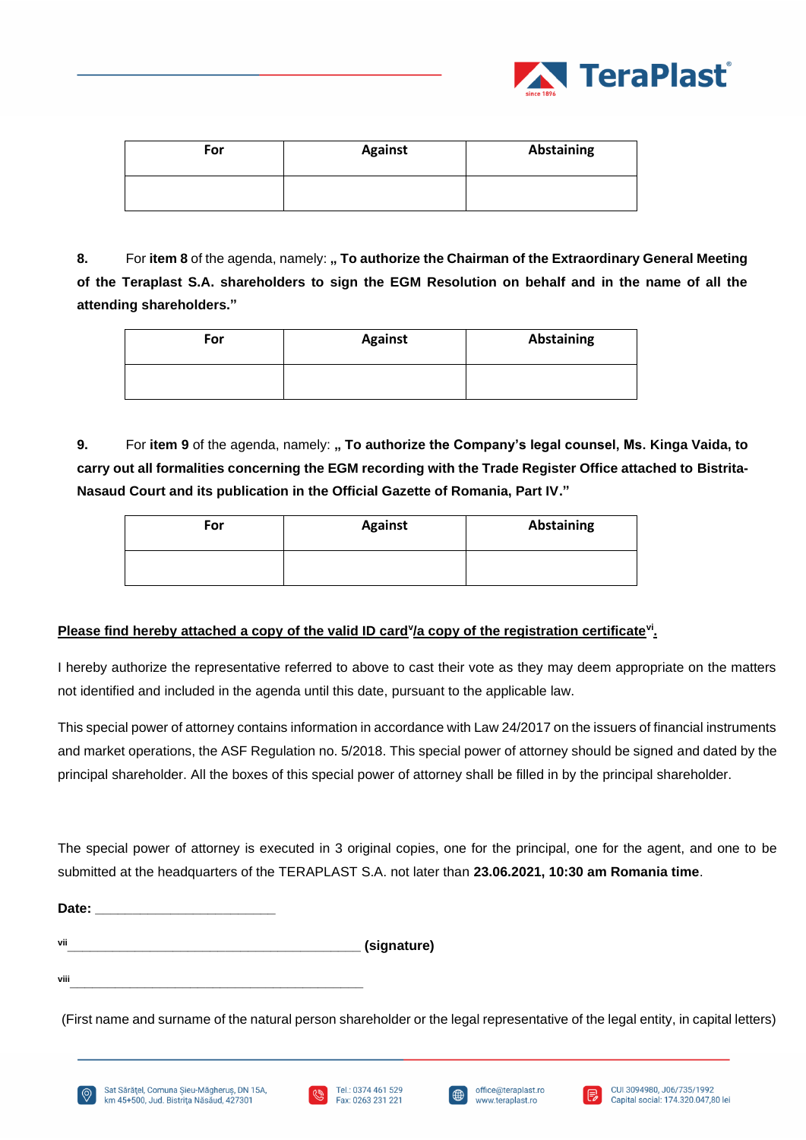

| For | <b>Against</b> | <b>Abstaining</b> |
|-----|----------------|-------------------|
|     |                |                   |

8. For item 8 of the agenda, namely: **" To authorize the Chairman of the Extraordinary General Meeting of the Teraplast S.A. shareholders to sign the EGM Resolution on behalf and in the name of all the attending shareholders."**

| For | <b>Against</b> | Abstaining |
|-----|----------------|------------|
|     |                |            |

**9.** For **item 9** of the agenda, namely: **" To authorize the Company's legal counsel, Ms. Kinga Vaida, to carry out all formalities concerning the EGM recording with the Trade Register Office attached to Bistrita-Nasaud Court and its publication in the Official Gazette of Romania, Part IV."**

| For | <b>Against</b> | <b>Abstaining</b> |
|-----|----------------|-------------------|
|     |                |                   |

# **Please find hereby attached a copy of the valid ID card<sup>y</sup>/a copy of the registration certificate<sup>vi</sup>.**

I hereby authorize the representative referred to above to cast their vote as they may deem appropriate on the matters not identified and included in the agenda until this date, pursuant to the applicable law.

This special power of attorney contains information in accordance with Law 24/2017 on the issuers of financial instruments and market operations, the ASF Regulation no. 5/2018. This special power of attorney should be signed and dated by the principal shareholder. All the boxes of this special power of attorney shall be filled in by the principal shareholder.

The special power of attorney is executed in 3 original copies, one for the principal, one for the agent, and one to be submitted at the headquarters of the TERAPLAST S.A. not later than **23.06.2021, 10:30 am Romania time**.

| Date: |  |  |  |
|-------|--|--|--|
|       |  |  |  |
|       |  |  |  |

**vii\_\_\_\_\_\_\_\_\_\_\_\_\_\_\_\_\_\_\_\_\_\_\_\_\_\_\_\_\_\_\_\_\_\_\_\_\_\_\_ (signature)**

**viii\_\_\_\_\_\_\_\_\_\_\_\_\_\_\_\_\_\_\_\_\_\_\_\_\_\_\_\_\_\_\_\_\_\_\_\_\_\_\_**

(First name and surname of the natural person shareholder or the legal representative of the legal entity, in capital letters)